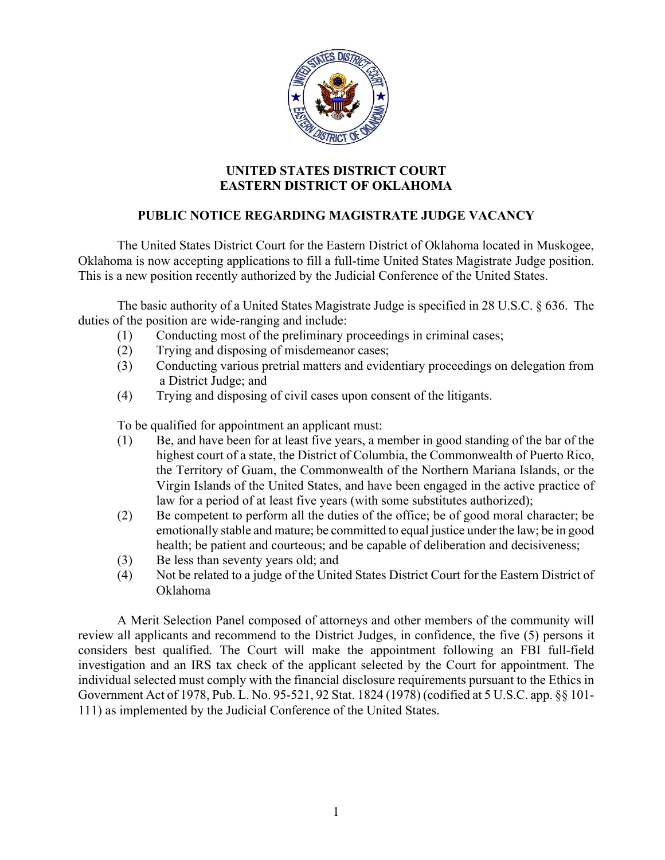

## **UNITED STATES DISTRICT COURT EASTERN DISTRICT OF OKLAHOMA**

## **PUBLIC NOTICE REGARDING MAGISTRATE JUDGE VACANCY**

The United States District Court for the Eastern District of Oklahoma located in Muskogee, Oklahoma is now accepting applications to fill a full-time United States Magistrate Judge position. This is a new position recently authorized by the Judicial Conference of the United States.

 The basic authority of a United States Magistrate Judge is specified in 28 U.S.C. § 636. The duties of the position are wide-ranging and include:

- (1) Conducting most of the preliminary proceedings in criminal cases;
- (2) Trying and disposing of misdemeanor cases;
- (3) Conducting various pretrial matters and evidentiary proceedings on delegation from a District Judge; and
- (4) Trying and disposing of civil cases upon consent of the litigants.

To be qualified for appointment an applicant must:

- (1) Be, and have been for at least five years, a member in good standing of the bar of the highest court of a state, the District of Columbia, the Commonwealth of Puerto Rico, the Territory of Guam, the Commonwealth of the Northern Mariana Islands, or the Virgin Islands of the United States, and have been engaged in the active practice of law for a period of at least five years (with some substitutes authorized);
- (2) Be competent to perform all the duties of the office; be of good moral character; be emotionally stable and mature; be committed to equal justice under the law; be in good health; be patient and courteous; and be capable of deliberation and decisiveness;
- (3) Be less than seventy years old; and
- (4) Not be related to a judge of the United States District Court for the Eastern District of Oklahoma

 A Merit Selection Panel composed of attorneys and other members of the community will review all applicants and recommend to the District Judges, in confidence, the five (5) persons it considers best qualified. The Court will make the appointment following an FBI full-field investigation and an IRS tax check of the applicant selected by the Court for appointment. The individual selected must comply with the financial disclosure requirements pursuant to the Ethics in Government Act of 1978, Pub. L. No. 95-521, 92 Stat. 1824 (1978) (codified at 5 U.S.C. app. §§ 101- 111) as implemented by the Judicial Conference of the United States.